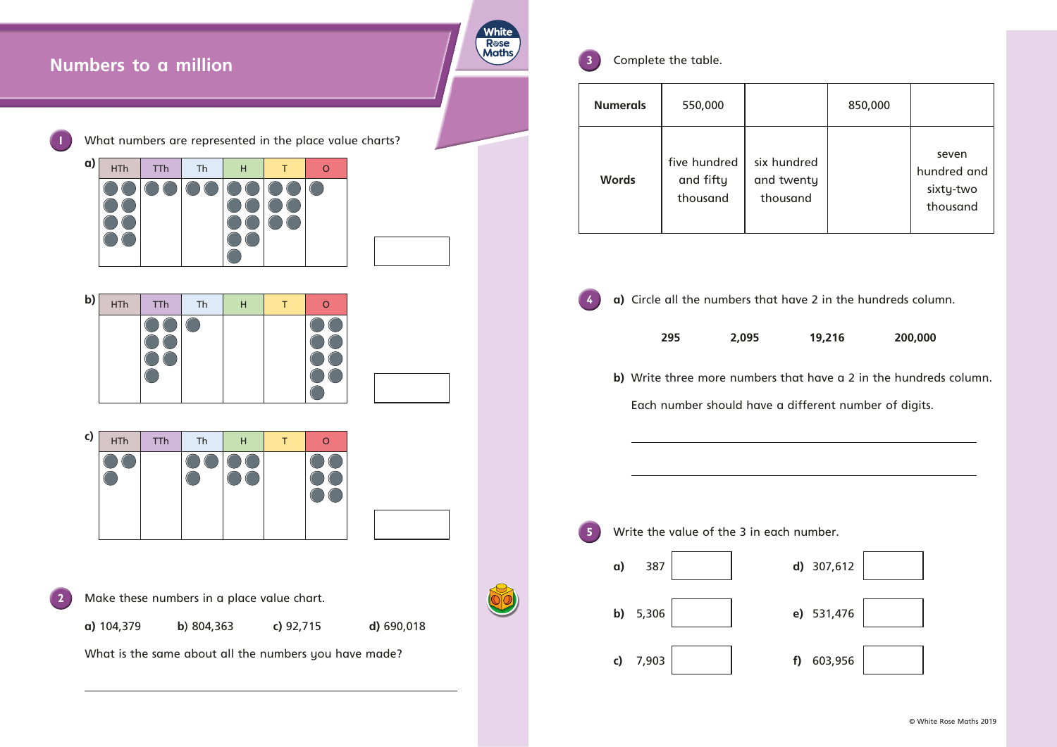|                   | 850,000 |                                               |
|-------------------|---------|-----------------------------------------------|
| Ired<br>nty<br>nd |         | seven<br>hundred and<br>sixty-two<br>thousand |